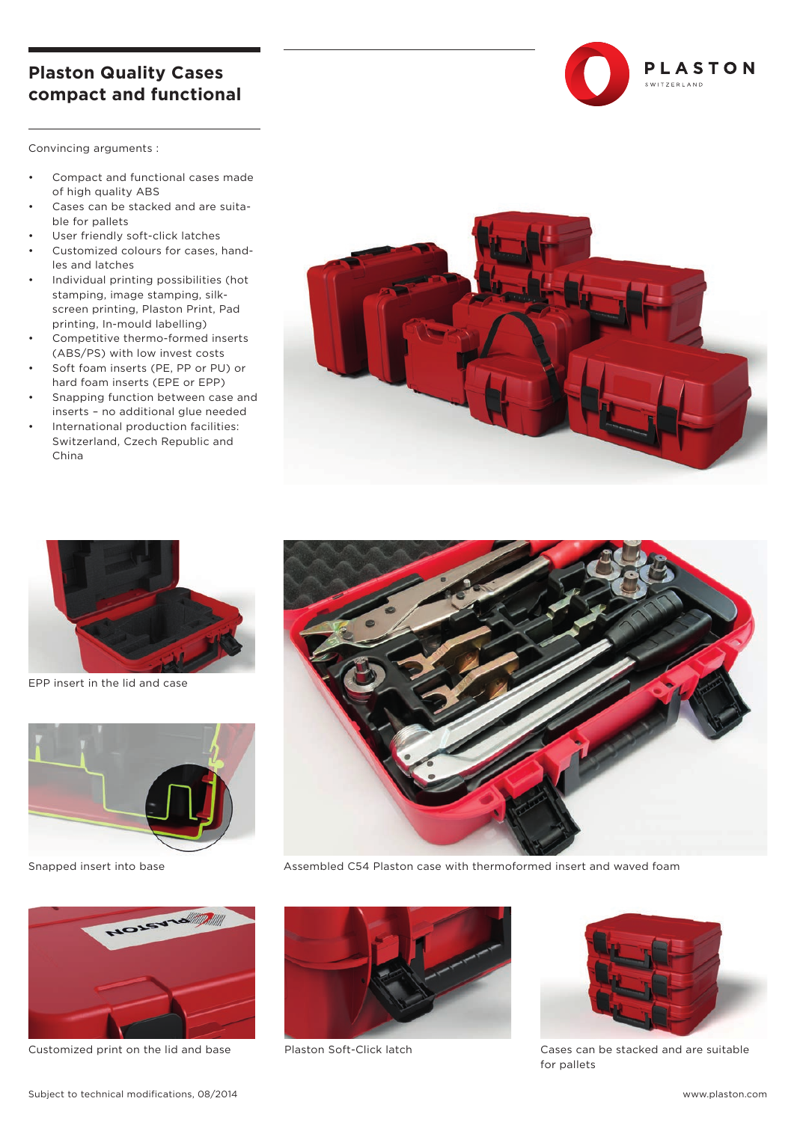## **Plaston Quality Cases compact and functional**

Convincing arguments :

- Compact and functional cases made of high quality ABS
- Cases can be stacked and are suitable for pallets
- User friendly soft-click latches
- Customized colours for cases, handles and latches
- Individual printing possibilities (hot stamping, image stamping, silkscreen printing, Plaston Print, Pad printing, In-mould labelling)
- Competitive thermo-formed inserts (ABS/PS) with low invest costs
- Soft foam inserts (PE, PP or PU) or hard foam inserts (EPE or EPP)
- Snapping function between case and inserts – no additional glue needed
- International production facilities: Switzerland, Czech Republic and China





EPP insert in the lid and case



Snapped insert into base



Customized print on the lid and base Plaston Soft-Click latch Cases can be stacked and are suitable



Assembled C54 Plaston case with thermoformed insert and waved foam





PLASTON

.<br>SWITZERLAND

for pallets